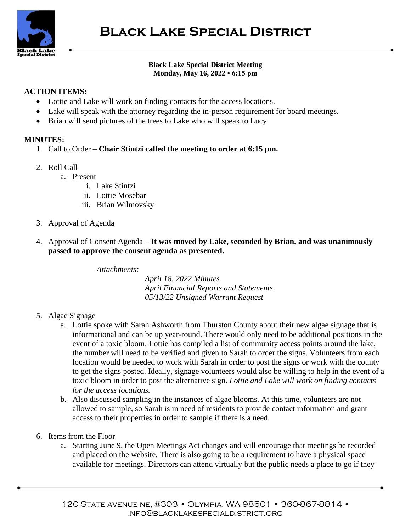

## **Black Lake Special District Meeting Monday, May 16, 2022 • 6:15 pm**

## **ACTION ITEMS:**

- Lottie and Lake will work on finding contacts for the access locations.
- Lake will speak with the attorney regarding the in-person requirement for board meetings.
- Brian will send pictures of the trees to Lake who will speak to Lucy.

## **MINUTES:**

- 1. Call to Order **Chair Stintzi called the meeting to order at 6:15 pm.**
- 2. Roll Call
	- a. Present
		- i. Lake Stintzi
		- ii. Lottie Mosebar
		- iii. Brian Wilmovsky
- 3. Approval of Agenda
- 4. Approval of Consent Agenda **It was moved by Lake, seconded by Brian, and was unanimously passed to approve the consent agenda as presented.**

*Attachments:*

*April 18, 2022 Minutes April Financial Reports and Statements 05/13/22 Unsigned Warrant Request*

- 5. Algae Signage
	- a. Lottie spoke with Sarah Ashworth from Thurston County about their new algae signage that is informational and can be up year-round. There would only need to be additional positions in the event of a toxic bloom. Lottie has compiled a list of community access points around the lake, the number will need to be verified and given to Sarah to order the signs. Volunteers from each location would be needed to work with Sarah in order to post the signs or work with the county to get the signs posted. Ideally, signage volunteers would also be willing to help in the event of a toxic bloom in order to post the alternative sign. *Lottie and Lake will work on finding contacts for the access locations.*
	- b. Also discussed sampling in the instances of algae blooms. At this time, volunteers are not allowed to sample, so Sarah is in need of residents to provide contact information and grant access to their properties in order to sample if there is a need.
- 6. Items from the Floor
	- a. Starting June 9, the Open Meetings Act changes and will encourage that meetings be recorded and placed on the website. There is also going to be a requirement to have a physical space available for meetings. Directors can attend virtually but the public needs a place to go if they